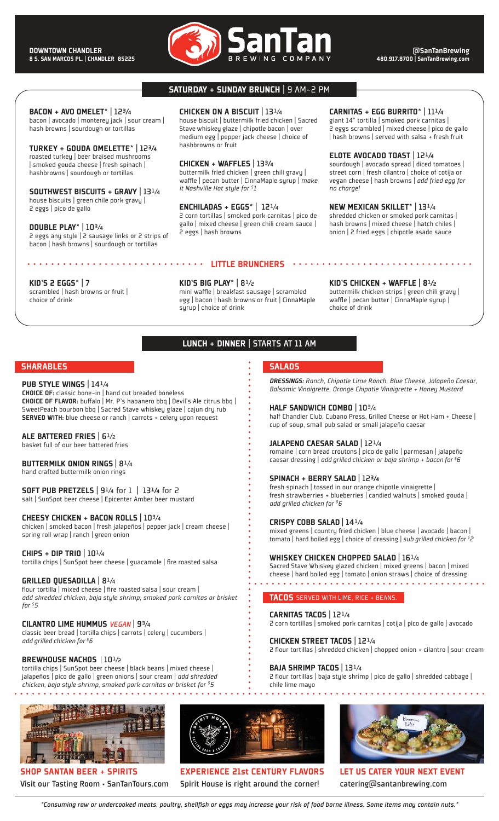

### SATURDAY + SUNDAY BRUNCH | 9 AM-2 PM

### BACON + AVO OMELET\* | 123/4

bacon | avocado | monterey jack | sour cream | hash browns | sourdough or tortillas

TURKEY + GOUDA OMELETTE\* | 123/4 roasted turkey | beer braised mushrooms | smoked gouda cheese | fresh spinach | hashbrowns | sourdough or tortillas

### SOUTHWEST BISCUITS + GRAVY | 13<sup>1/4</sup> house biscuits | green chile pork gravy | 2 eggs | pico de gallo

DOUBLE PLAY\* | 10<sup>3</sup>/4 2 eggs any style | 2 sausage links or 2 strips of bacon | hash browns | sourdough or tortillas

. . . . . . . . . . . . . . . . . . .

### CHICKEN ON A BISCUIT | 131/4 house biscuit | buttermilk fried chicken | Sacred Stave whiskey glaze | chipotle bacon | over medium egg | pepper jack cheese | choice of hashbrowns or fruit

CHICKEN + WAFFLES | 133/4 buttermilk fried chicken | green chili gravy | waffle | pecan butter | CinnaMaple syrup | *make it Nashville Hot style for \$ 1*

ENCHILADAS + EGGS\* | 12¼ 2 corn tortillas | smoked pork carnitas | pico de gallo | mixed cheese | green chili cream sauce | 2 eggs | hash browns

LITTLE BRUNCHERS

**SALADS** 

HALF SANDWICH COMBO | 10<sup>3</sup>/4

JALAPENO CAESAR SALAD | 12<sup>1/4</sup>

SPINACH + BERRY SALAD | 123/4

*add grilled chicken for \$6*

CRISPY COBB SALAD | 14<sup>1</sup>/4

CARNITAS TACOS | 12¼

CHICKEN STREET TACOS | 12¼

BAJA SHRIMP TACOS | 131/4

chile lime mayo

TACOS SERVED WITH LIME, RICE + BEANS.

. . . . . . . . . . . . . . . . . .

WHISKEY CHICKEN CHOPPED SALAD | 16<sup>1/4</sup>

CARNITAS + EGG BURRITO\* | 11¼ giant 14" tortilla | smoked pork carnitas |

2 eggs scrambled | mixed cheese | pico de gallo | hash browns | served with salsa + fresh fruit

### ELOTE AVOCADO TOAST | 12¼

sourdough | avocado spread | diced tomatoes | street corn | fresh cilantro | choice of cotija or vegan cheese | hash browns | *add fried egg for no charge!*

NEW MEXICAN SKILLET\* | 13<sup>1/4</sup> shredded chicken or smoked pork carnitas | hash browns | mixed cheese | hatch chiles | onion | 2 fried eggs | chipotle asado sauce

### KID'S 2 EGGS\* | 7

scrambled | hash browns or fruit | choice of drink

KID'S BIG PLAY\*  $| 8^{1/2}$ mini waffle | breakfast sausage | scrambled egg | bacon | hash browns or fruit | CinnaMaple syrup | choice of drink

### KID'S CHICKEN + WAFFLE | 8½

*DRESSINGS: Ranch, Chipotle Lime Ranch, Blue Cheese, Jalapeño Caesar, Balsamic Vinaigrette, Orange Chipotle Vinaigrette + Honey Mustard* 

half Chandler Club, Cubano Press, Grilled Cheese or Hot Ham + Cheese |

romaine | corn bread croutons | pico de gallo | parmesan | jalapeño caesar dressing | *add grilled chicken or baja shrimp + bacon for \$6*

fresh strawberries + blueberries | candied walnuts | smoked gouda |

mixed greens | country fried chicken | blue cheese | avocado | bacon | tomato | hard boiled egg | choice of dressing | *sub grilled chicken for \$2*

Sacred Stave Whiskey glazed chicken | mixed greens | bacon | mixed cheese | hard boiled egg | tomato | onion straws | choice of dressing

2 corn tortillas | smoked pork carnitas | cotija | pico de gallo | avocado

2 flour tortillas | baja style shrimp | pico de gallo | shredded cabbage |

2 flour tortillas | shredded chicken | chopped onion + cilantro | sour cream

cup of soup, small pub salad or small jalapeño caesar

fresh spinach | tossed in our orange chipotle vinaigrette |

buttermilk chicken strips | green chili gravy | waffle | pecan butter | CinnaMaple syrup | choice of drink

### LUNCH + DINNER | STARTS AT 11 AM

### **SHARABLES**

### PUB STYLE WINGS | 141/4

CHOICE OF: classic bone-in | hand cut breaded boneless CHOICE OF FLAVOR: buffalo | Mr. P's habanero bbq | Devil's Ale citrus bbq | SweetPeach bourbon bbq | Sacred Stave whiskey glaze | cajun dry rub SERVED WITH: blue cheese or ranch | carrots + celery upon request

### ALE BATTERED FRIES | 6½

basket full of our beer battered fries

### BUTTERMILK ONION RINGS | 81/4

hand crafted buttermilk onion rings

### SOFT PUB PRETZELS | 9<sup>1/4</sup> for 1 | 13<sup>1</sup>/4 for 2

salt | SunSpot beer cheese | Epicenter Amber beer mustard

### CHEESY CHICKEN + BACON ROLLS | 10<sup>3</sup>/4

chicken | smoked bacon | fresh jalapeños | pepper jack | cream cheese | spring roll wrap | ranch | green onion

### CHIPS + DIP TRIO  $10^{1/4}$

tortilla chips | SunSpot beer cheese | guacamole | fire roasted salsa

### GRILLED QUESADILLA | 81/4

flour tortilla | mixed cheese | fire roasted salsa | sour cream | *add shredded chicken, baja style shrimp, smoked pork carnitas or brisket for \$5*

## CILANTRO LIME HUMMUS *VEGAN* | 9¾

classic beer bread | tortilla chips | carrots | celery | cucumbers | *add grilled chicken for \$6* 

### BREWHOUSE NACHOS | 10<sup>1</sup>/2

tortilla chips | SunSpot beer cheese | black beans | mixed cheese | jalapeños | pico de gallo | green onions | sour cream | *add shredded chicken, baja style shrimp, smoked pork carnitas or brisket for \$5*

## **MARA** 1111 733 4334

SHOP SANTAN BEER + SPIRITS Visit our Tasting Room • SanTanTours.com



EXPERIENCE 21st CENTURY FLAVORS Spirit House is right around the corner!



LET US CATER YOUR NEXT EVENT catering@santanbrewing.com

*\*Consuming raw or undercooked meats, poultry, shellfish or eggs may increase your risk of food borne illness. Some items may contain nuts.\**